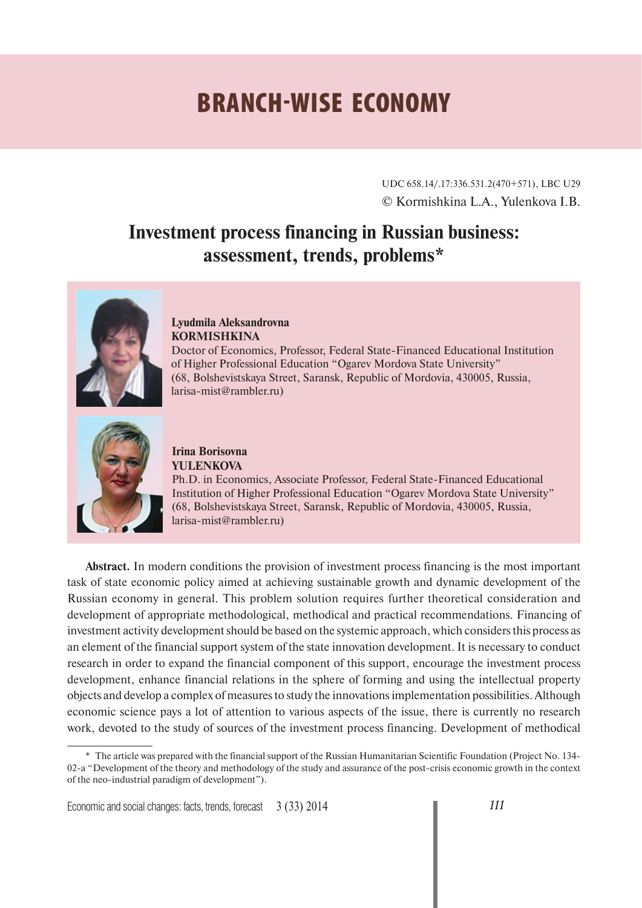# **BRANCH-WISE ECONOMY**

UDC 658.14/.17:336.531.2(470+571), LBC U29 © Kormishkina L.A., Yulenkova I.B.

# **Investment process financing in Russian business: assessment, trends, problems\***



#### **Lyudmila Aleksandrovna KORMISHKINA**

Doctor of Economics, Professor, Federal State-Financed Educational Institution of Higher Professional Education "Ogarev Mordova State University" (68, Bolshevistskaya Street, Saransk, Republic of Mordovia, 430005, Russia, larisa-mist@rambler.ru)



#### **Irina Borisovna YULENKOVA**

Ph.D. in Economics, Associate Professor, Federal State-Financed Educational Institution of Higher Professional Education "Ogarev Mordova State University" (68, Bolshevistskaya Street, Saransk, Republic of Mordovia, 430005, Russia, larisa-mist@rambler.ru)

**Abstract.** In modern conditions the provision of investment process financing is the most important task of state economic policy aimed at achieving sustainable growth and dynamic development of the Russian economy in general. This problem solution requires further theoretical consideration and development of appropriate methodological, methodical and practical recommendations. Financing of investment activity development should be based on the systemic approach, which considers this process as an element of the financial support system of the state innovation development. It is necessary to conduct research in order to expand the financial component of this support, encourage the investment process development, enhance financial relations in the sphere of forming and using the intellectual property objects and develop a complex of measures to study the innovations implementation possibilities. Although economic science pays a lot of attention to various aspects of the issue, there is currently no research work, devoted to the study of sources of the investment process financing. Development of methodical

<sup>\*</sup> The article was prepared with the financial support of the Russian Humanitarian Scientific Foundation (Project No. 134- 02-a "Development of the theory and methodology of the study and assurance of the post-crisis economic growth in the context of the neo-industrial paradigm of development").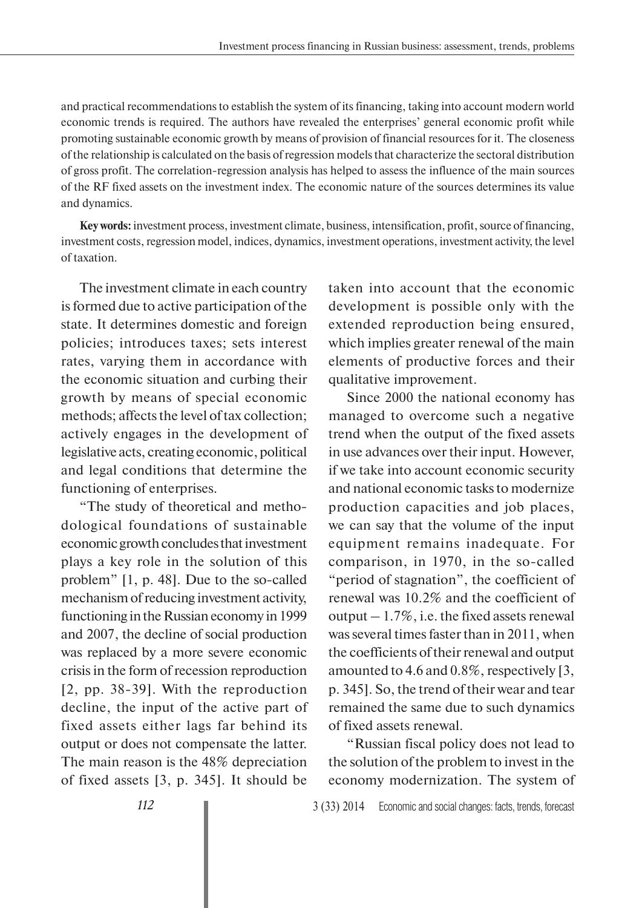and practical recommendations to establish the system of its financing, taking into account modern world economic trends is required. The authors have revealed the enterprises' general economic profit while promoting sustainable economic growth by means of provision of financial resources for it. The closeness of the relationship is calculated on the basis of regression models that characterize the sectoral distribution of gross profit. The correlation-regression analysis has helped to assess the influence of the main sources of the RF fixed assets on the investment index. The economic nature of the sources determines its value and dynamics.

**Key words:** investment process, investment climate, business, intensification, profit, source of financing, investment costs, regression model, indices, dynamics, investment operations, investment activity, the level of taxation.

The investment climate in each country is formed due to active participation of the state. It determines domestic and foreign policies; introduces taxes; sets interest rates, varying them in accordance with the economic situation and curbing their growth by means of special economic methods; affects the level of tax collection; actively engages in the development of legislative acts, creating economic, political and legal conditions that determine the functioning of enterprises.

"The study of theoretical and methodological foundations of sustainable economic growth concludes that investment plays a key role in the solution of this problem" [1, p. 48]. Due to the so-called mechanism of reducing investment activity, functioning in the Russian economy in 1999 and 2007, the decline of social production was replaced by a more severe economic crisis in the form of recession reproduction [2, pp. 38-39]. With the reproduction decline, the input of the active part of fixed assets either lags far behind its output or does not compensate the latter. The main reason is the 48% depreciation of fixed assets [3, p. 345]. It should be

taken into account that the economic development is possible only with the extended reproduction being ensured, which implies greater renewal of the main elements of productive forces and their qualitative improvement.

Since 2000 the national economy has managed to overcome such a negative trend when the output of the fixed assets in use advances over their input. However, if we take into account economic security and national economic tasks to modernize production capacities and job places, we can say that the volume of the input equipment remains inadequate. For comparison, in 1970, in the so-called "period of stagnation", the coefficient of renewal was 10.2% and the coefficient of output  $-1.7\%$ , i.e. the fixed assets renewal was several times faster than in 2011, when the coefficients of their renewal and output amounted to 4.6 and 0.8%, respectively [3, p. 345]. So, the trend of their wear and tear remained the same due to such dynamics of fixed assets renewal.

"Russian fiscal policy does not lead to the solution of the problem to invest in the economy modernization. The system of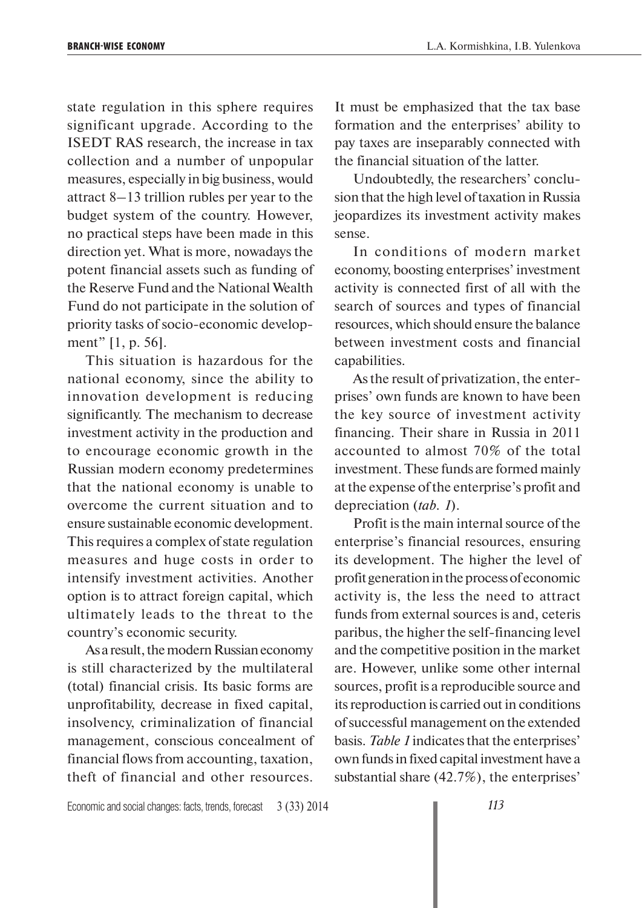state regulation in this sphere requires significant upgrade. According to the ISEDT RAS research, the increase in tax collection and a number of unpopular measures, especially in big business, would attract 8–13 trillion rubles per year to the budget system of the country. However, no practical steps have been made in this direction yet. What is more, nowadays the potent financial assets such as funding of the Reserve Fund and the National Wealth Fund do not participate in the solution of priority tasks of socio-economic development" [1, p. 56].

This situation is hazardous for the national economy, since the ability to innovation development is reducing significantly. The mechanism to decrease investment activity in the production and to encourage economic growth in the Russian modern economy predetermines that the national economy is unable to overcome the current situation and to ensure sustainable economic development. This requires a complex of state regulation measures and huge costs in order to intensify investment activities. Another option is to attract foreign capital, which ultimately leads to the threat to the country's economic security.

As a result, the modern Russian economy is still characterized by the multilateral (total) financial crisis. Its basic forms are unprofitability, decrease in fixed capital, insolvency, criminalization of financial management, conscious concealment of financial flows from accounting, taxation, theft of financial and other resources.

It must be emphasized that the tax base formation and the enterprises' ability to pay taxes are inseparably connected with the financial situation of the latter.

Undoubtedly, the researchers' conclusion that the high level of taxation in Russia jeopardizes its investment activity makes sense.

In conditions of modern market economy, boosting enterprises' investment activity is connected first of all with the search of sources and types of financial resources, which should ensure the balance between investment costs and financial capabilities.

As the result of privatization, the enterprises' own funds are known to have been the key source of investment activity financing. Their share in Russia in 2011 accounted to almost 70% of the total investment. These funds are formed mainly at the expense of the enterprise's profit and depreciation (*tab. 1*).

Profit is the main internal source of the enterprise's financial resources, ensuring its development. The higher the level of profit generation in the process of economic activity is, the less the need to attract funds from external sources is and, ceteris paribus, the higher the self-financing level and the competitive position in the market are. However, unlike some other internal sources, profit is a reproducible source and its reproduction is carried out in conditions of successful management on the extended basis. *Table 1* indicates that the enterprises' own funds in fixed capital investment have a substantial share (42.7%), the enterprises'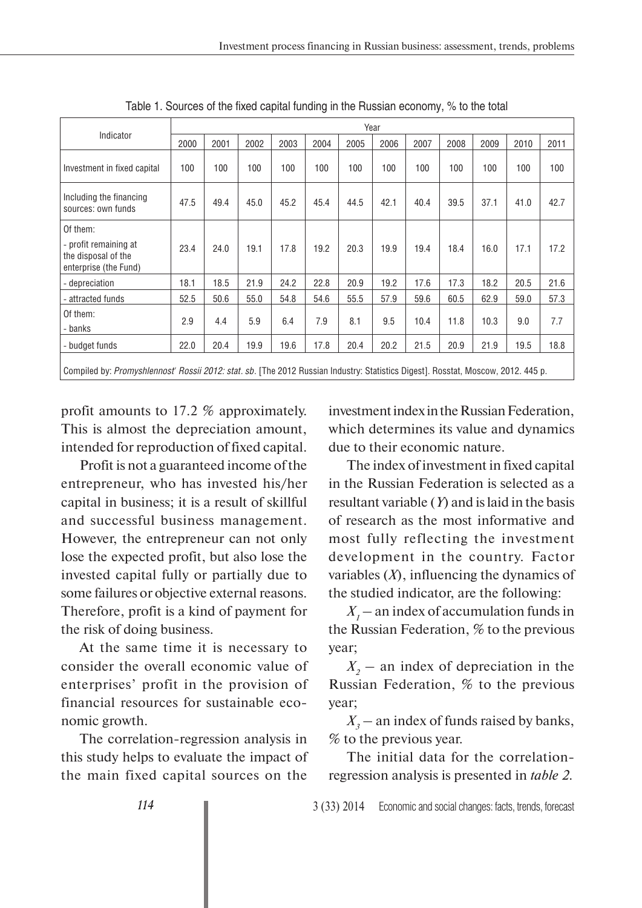|                                                                                   | Year |      |      |      |      |      |      |      |      |      |      |      |
|-----------------------------------------------------------------------------------|------|------|------|------|------|------|------|------|------|------|------|------|
| Indicator                                                                         | 2000 | 2001 | 2002 | 2003 | 2004 | 2005 | 2006 | 2007 | 2008 | 2009 | 2010 | 2011 |
| Investment in fixed capital                                                       | 100  | 100  | 100  | 100  | 100  | 100  | 100  | 100  | 100  | 100  | 100  | 100  |
| Including the financing<br>sources: own funds                                     | 47.5 | 49.4 | 45.0 | 45.2 | 45.4 | 44.5 | 42.1 | 40.4 | 39.5 | 37.1 | 41.0 | 42.7 |
| Of them:<br>- profit remaining at<br>the disposal of the<br>enterprise (the Fund) | 23.4 | 24.0 | 19.1 | 17.8 | 19.2 | 20.3 | 19.9 | 19.4 | 18.4 | 16.0 | 17.1 | 17.2 |
| - depreciation                                                                    | 18.1 | 18.5 | 21.9 | 24.2 | 22.8 | 20.9 | 19.2 | 17.6 | 17.3 | 18.2 | 20.5 | 21.6 |
| attracted funds                                                                   | 52.5 | 50.6 | 55.0 | 54.8 | 54.6 | 55.5 | 57.9 | 59.6 | 60.5 | 62.9 | 59.0 | 57.3 |
| Of them:<br>- banks                                                               | 2.9  | 4.4  | 5.9  | 6.4  | 7.9  | 8.1  | 9.5  | 10.4 | 11.8 | 10.3 | 9.0  | 7.7  |
| - budget funds                                                                    | 22.0 | 20.4 | 19.9 | 19.6 | 17.8 | 20.4 | 20.2 | 21.5 | 20.9 | 21.9 | 19.5 | 18.8 |
|                                                                                   |      |      |      |      |      |      |      |      |      |      |      |      |

Table 1. Sources of the fixed capital funding in the Russian economy, % to the total

Compiled by: *Promyshlennost' Rossii 2012: stat. sb.* [The 2012 Russian Industry: Statistics Digest]. Rosstat, Moscow, 2012. 445 p.

profit amounts to 17.2 % approximately. This is almost the depreciation amount, intended for reproduction of fixed capital.

Profit is not a guaranteed income of the entrepreneur, who has invested his/her capital in business; it is a result of skillful and successful business management. However, the entrepreneur can not only lose the expected profit, but also lose the invested capital fully or partially due to some failures or objective external reasons. Therefore, profit is a kind of payment for the risk of doing business.

At the same time it is necessary to consider the overall economic value of enterprises' profit in the provision of financial resources for sustainable economic growth.

The correlation-regression analysis in this study helps to evaluate the impact of the main fixed capital sources on the

investment index in the Russian Federation, which determines its value and dynamics due to their economic nature.

The index of investment in fixed capital in the Russian Federation is selected as a resultant variable (*Y*) and is laid in the basis of research as the most informative and most fully reflecting the investment development in the country. Factor variables (*X*), influencing the dynamics of the studied indicator, are the following:

 $X_1$  – an index of accumulation funds in the Russian Federation, % to the previous year;

 $X_2$  – an index of depreciation in the Russian Federation, % to the previous year;

 $X_3$  – an index of funds raised by banks, % to the previous year.

The initial data for the correlationregression analysis is presented in *table 2*.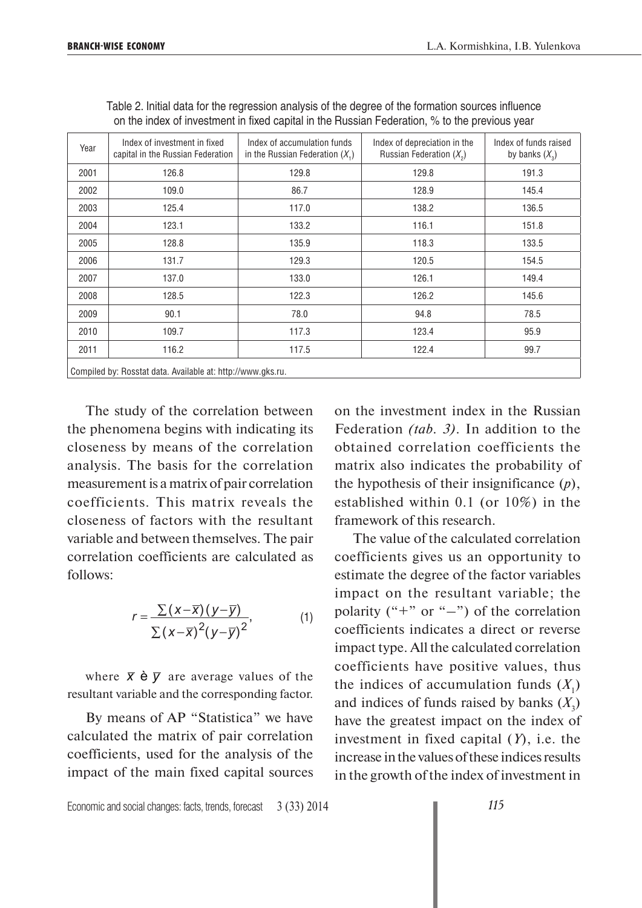| Year                                                        | Index of investment in fixed<br>capital in the Russian Federation | Index of accumulation funds<br>in the Russian Federation $(X_1)$ | Index of depreciation in the<br>Russian Federation $(X_2)$ | Index of funds raised<br>by banks $(X_2)$ |  |  |
|-------------------------------------------------------------|-------------------------------------------------------------------|------------------------------------------------------------------|------------------------------------------------------------|-------------------------------------------|--|--|
| 2001                                                        | 126.8                                                             | 129.8                                                            | 129.8                                                      | 191.3                                     |  |  |
| 2002                                                        | 109.0                                                             | 86.7                                                             | 128.9                                                      | 145.4                                     |  |  |
| 2003                                                        | 125.4                                                             | 117.0                                                            | 138.2                                                      | 136.5                                     |  |  |
| 2004                                                        | 123.1                                                             | 133.2                                                            | 116.1                                                      | 151.8                                     |  |  |
| 2005                                                        | 128.8                                                             | 135.9                                                            | 118.3                                                      | 133.5                                     |  |  |
| 2006                                                        | 131.7                                                             | 129.3                                                            | 120.5                                                      | 154.5                                     |  |  |
| 2007                                                        | 137.0                                                             | 133.0                                                            | 126.1                                                      | 149.4                                     |  |  |
| 2008                                                        | 128.5                                                             | 122.3                                                            | 126.2                                                      | 145.6                                     |  |  |
| 2009                                                        | 90.1                                                              | 78.0                                                             | 94.8                                                       | 78.5                                      |  |  |
| 2010                                                        | 109.7                                                             | 117.3                                                            | 123.4                                                      | 95.9                                      |  |  |
| 2011                                                        | 116.2                                                             | 117.5                                                            | 122.4                                                      | 99.7                                      |  |  |
| Compiled by: Rosstat data. Available at: http://www.gks.ru. |                                                                   |                                                                  |                                                            |                                           |  |  |

Table 2. Initial data for the regression analysis of the degree of the formation sources influence on the index of investment in fixed capital in the Russian Federation, % to the previous year

The study of the correlation between the phenomena begins with indicating its closeness by means of the correlation analysis. The basis for the correlation measurement is a matrix of pair correlation coefficients. This matrix reveals the closeness of factors with the resultant variable and between themselves. The pair correlation coefficients are calculated as follows:

$$
r = \frac{\sum (x - \overline{x})(y - \overline{y})}{\sum (x - \overline{x})^2 (y - \overline{y})^2},
$$
 (1)

where  $\bar{x} \dot{e} \bar{y}$  are average values of the resultant variable and the corresponding factor.

By means of AP "Statistica" we have calculated the matrix of pair correlation coefficients, used for the analysis of the impact of the main fixed capital sources on the investment index in the Russian Federation *(tab. 3)*. In addition to the obtained correlation coefficients the matrix also indicates the probability of the hypothesis of their insignificance (*p*), established within 0.1 (or 10%) in the framework of this research.

The value of the calculated correlation coefficients gives us an opportunity to estimate the degree of the factor variables impact on the resultant variable; the polarity ("+" or "-") of the correlation coefficients indicates a direct or reverse impact type. All the calculated correlation coefficients have positive values, thus the indices of accumulation funds  $(X_1)$ and indices of funds raised by banks  $(X_3)$ have the greatest impact on the index of investment in fixed capital (*Y*), i.e. the increase in the values of these indices results in the growth of the index of investment in

Economic and social changes: facts, trends, forecast 3 (33) 2014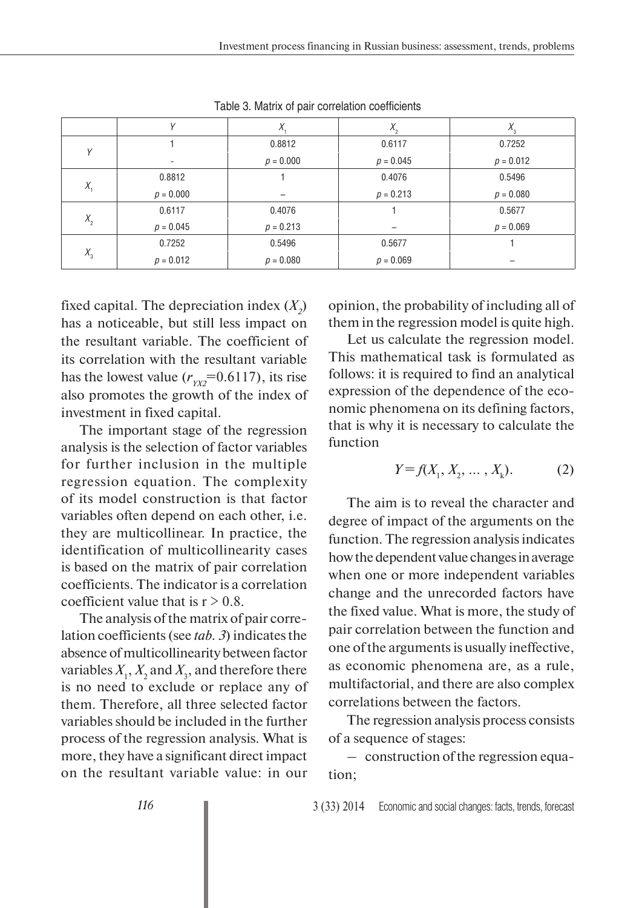|              |             | Λ.          | $\Lambda_{\alpha}$ | $\Lambda_{3}$ |
|--------------|-------------|-------------|--------------------|---------------|
| $\checkmark$ |             | 0.8812      | 0.6117             | 0.7252        |
|              | -           | $p = 0.000$ | $p = 0.045$        | $p = 0.012$   |
| $X_{1}$      | 0.8812      |             | 0.4076             | 0.5496        |
|              | $p = 0.000$ |             | $p = 0.213$        | $p = 0.080$   |
| $X_{2}$      | 0.6117      | 0.4076      |                    | 0.5677        |
|              | $p = 0.045$ | $p = 0.213$ |                    | $p = 0.069$   |
| $X_{3}$      | 0.7252      | 0.5496      | 0.5677             |               |
|              | $p = 0.012$ | $p = 0.080$ | $p = 0.069$        |               |

Table 3. Matrix of pair correlation coefficients

fixed capital. The depreciation index  $(X_2)$ has a noticeable, but still less impact on the resultant variable. The coefficient of its correlation with the resultant variable has the lowest value  $(r_{YXZ} = 0.6117)$ , its rise also promotes the growth of the index of investment in fixed capital.

The important stage of the regression analysis is the selection of factor variables for further inclusion in the multiple regression equation. The complexity of its model construction is that factor variables often depend on each other, i.e. they are multicollinear. In practice, the identification of multicollinearity cases is based on the matrix of pair correlation coefficients. The indicator is a correlation coefficient value that is  $r > 0.8$ .

The analysis of the matrix of pair correlation coefficients (see *tab. 3*) indicates the absence of multicollinearity between factor variables  $X_1, X_2$  and  $X_3$ , and therefore there is no need to exclude or replace any of them. Therefore, all three selected factor variables should be included in the further process of the regression analysis. What is more, they have a significant direct impact on the resultant variable value: in our

opinion, the probability of including all of them in the regression model is quite high.

Let us calculate the regression model. This mathematical task is formulated as follows: it is required to find an analytical expression of the dependence of the economic phenomena on its defining factors, that is why it is necessary to calculate the function

$$
Y = f(X_1, X_2, \dots, X_k). \tag{2}
$$

The aim is to reveal the character and degree of impact of the arguments on the function. The regression analysis indicates how the dependent value changes in average when one or more independent variables change and the unrecorded factors have the fixed value. What is more, the study of pair correlation between the function and one of the arguments is usually ineffective, as economic phenomena are, as a rule, multifactorial, and there are also complex correlations between the factors.

The regression analysis process consists of a sequence of stages:

– construction of the regression equation;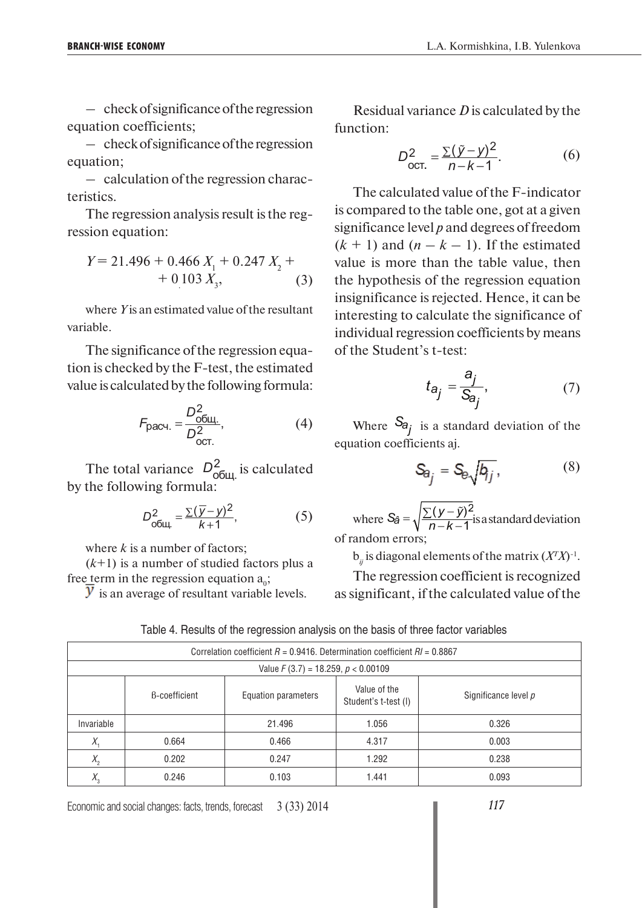– check of significance of the regression equation coefficients;

– check of significance of the regression equation;

– calculation of the regression characteristics.

The regression analysis result is the regression equation:

$$
Y = 21.496 + 0.466 X1 + 0.247 X2 + + 0.103 X3, \t(3)
$$

where *Y* is an estimated value of the resultant variable.

The significance of the regression equation is checked by the F-test, the estimated value is calculated by the following formula:

$$
F_{\text{pacu.}} = \frac{D_{\text{obu.}}^2}{D_{\text{ocr.}}^2},\tag{4}
$$

The total variance  $D_{\text{offu} \text{}}^2$  is calculated by the following formula:

$$
D_{\text{obu},k}^2 = \frac{\sum(\overline{y} - y)^2}{k+1},\tag{5}
$$

where *k* is a number of factors;

(*k*+1) is a number of studied factors plus a free term in the regression equation  $a_0$ ;

 $\overline{y}$  is an average of resultant variable levels.

Residual variance *D* is calculated by the function:

$$
D_{\text{OCT.}}^2 = \frac{\sum (\tilde{y} - y)^2}{n - k - 1}.
$$
 (6)

The calculated value of the F-indicator is compared to the table one, got at a given significance level *p* and degrees of freedom  $(k + 1)$  and  $(n - k - 1)$ . If the estimated value is more than the table value, then the hypothesis of the regression equation insignificance is rejected. Hence, it can be interesting to calculate the significance of individual regression coefficients by means of the Student's t-test:

$$
t_{a_j} = \frac{a_j}{S_{a_j}},\tag{7}
$$

Where  $S_{a_i}$  is a standard deviation of the equation coefficients aj.

$$
S_{\theta_j} = S_{\theta} \sqrt{b_{jj}}, \qquad (8)
$$

where  $S_{\hat{a}} = \sqrt{\frac{\sum (y - \tilde{y})^2}{n - k - 1}}$  is a standard deviation of random errors;

 $b_{ij}$  is diagonal elements of the matrix  $(X^T X)^{-1}$ .

The regression coefficient is recognized as significant, if the calculated value of the

| Correlation coefficient $R = 0.9416$ . Determination coefficient $R = 0.8867$ |                      |        |       |       |  |  |
|-------------------------------------------------------------------------------|----------------------|--------|-------|-------|--|--|
| Value $F(3.7) = 18.259$ , $p < 0.00109$                                       |                      |        |       |       |  |  |
|                                                                               | Significance level p |        |       |       |  |  |
| Invariable                                                                    |                      | 21.496 | 1.056 | 0.326 |  |  |
| Х.                                                                            | 0.664                | 0.466  | 4.317 | 0.003 |  |  |
| $X_{2}$                                                                       | 0.202                | 0.247  | 1.292 | 0.238 |  |  |
| $X_{\circ}$                                                                   | 0.246                | 0.103  | 1.441 | 0.093 |  |  |

Table 4. Results of the regression analysis on the basis of three factor variables

Economic and social changes: facts, trends, forecast 3 (33) 2014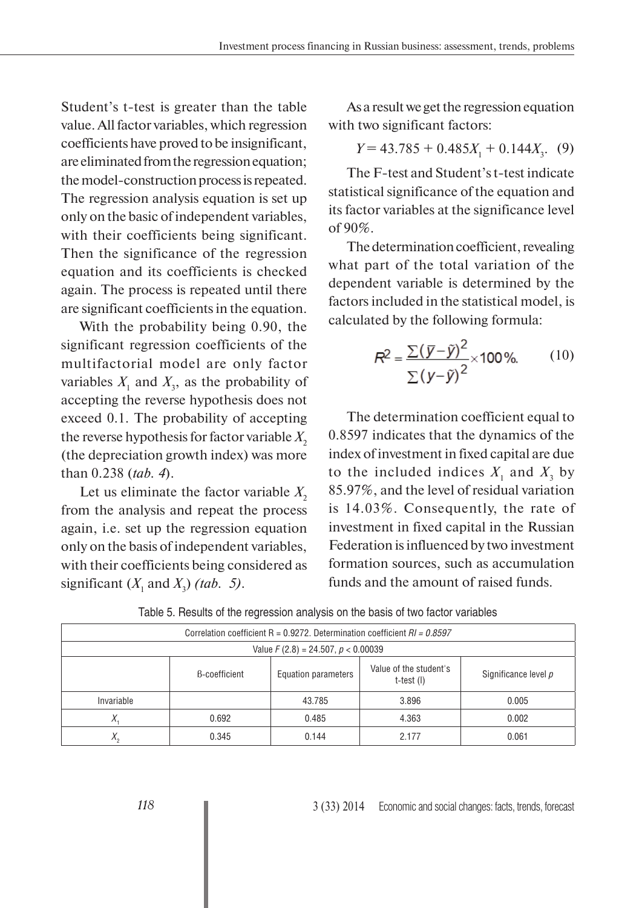Student's t-test is greater than the table value. All factor variables, which regression coefficients have proved to be insignificant, are eliminated from the regression equation; the model-construction process is repeated. The regression analysis equation is set up only on the basic of independent variables, with their coefficients being significant. Then the significance of the regression equation and its coefficients is checked again. The process is repeated until there are significant coefficients in the equation.

With the probability being 0.90, the significant regression coefficients of the multifactorial model are only factor variables  $X_1$  and  $X_3$ , as the probability of accepting the reverse hypothesis does not exceed 0.1. The probability of accepting the reverse hypothesis for factor variable  $X$ <sub>2</sub> (the depreciation growth index) was more than 0.238 (*tab. 4*).

Let us eliminate the factor variable  $X_2$ from the analysis and repeat the process again, i.e. set up the regression equation only on the basis of independent variables, with their coefficients being considered as significant  $(X_1 \text{ and } X_3)$  *(tab. 5)*.

As a result we get the regression equation with two significant factors:

$$
Y = 43.785 + 0.485X_1 + 0.144X_3. (9)
$$

The F-test and Student's t-test indicate statistical significance of the equation and its factor variables at the significance level of 90%.

The determination coefficient, revealing what part of the total variation of the dependent variable is determined by the factors included in the statistical model, is calculated by the following formula:

$$
R^2 = \frac{\sum (\overline{y} - \tilde{y})^2}{\sum (y - \tilde{y})^2} \times 100\%.\tag{10}
$$

The determination coefficient equal to 0.8597 indicates that the dynamics of the index of investment in fixed capital are due to the included indices  $X_1$  and  $X_3$  by 85.97%, and the level of residual variation is 14.03%. Consequently, the rate of investment in fixed capital in the Russian Federation is influenced by two investment formation sources, such as accumulation funds and the amount of raised funds.

| Correlation coefficient R = 0.9272. Determination coefficient $RI = 0.8597$ |                                                                                                             |        |         |       |  |  |  |
|-----------------------------------------------------------------------------|-------------------------------------------------------------------------------------------------------------|--------|---------|-------|--|--|--|
| Value $F(2.8) = 24.507$ , $p < 0.00039$                                     |                                                                                                             |        |         |       |  |  |  |
|                                                                             | Value of the student's<br><b>B-coefficient</b><br>Significance level p<br>Equation parameters<br>t-test (I) |        |         |       |  |  |  |
| Invariable                                                                  |                                                                                                             | 43.785 | 3.896   | 0.005 |  |  |  |
| $\Lambda$                                                                   | 0.692                                                                                                       | 0.485  | 4.363   | 0.002 |  |  |  |
| $X_{\circ}$                                                                 | 0.345                                                                                                       | 0.144  | 2 1 7 7 | 0.061 |  |  |  |

Table 5. Results of the regression analysis on the basis of two factor variables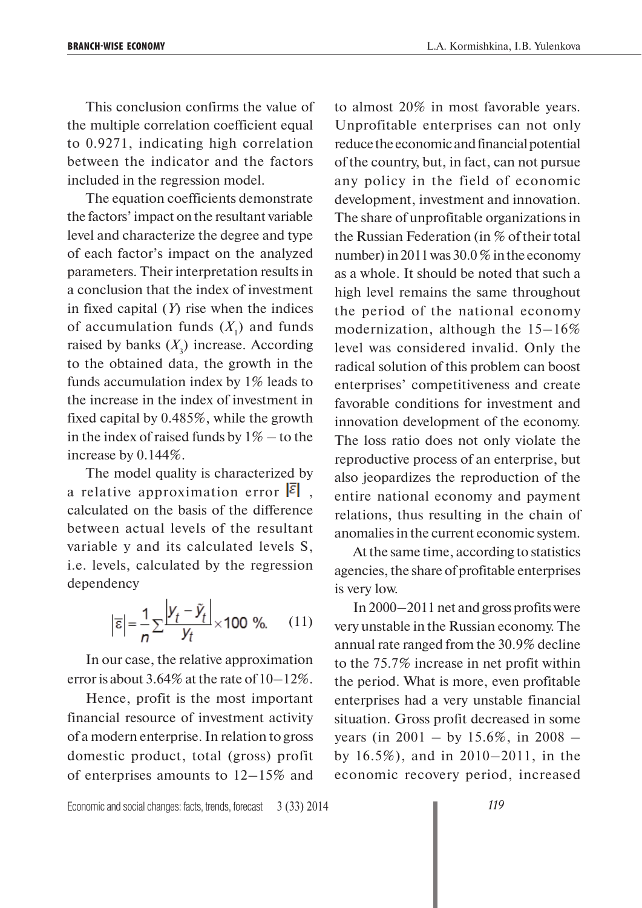This conclusion confirms the value of the multiple correlation coefficient equal to 0.9271, indicating high correlation between the indicator and the factors included in the regression model.

The equation coefficients demonstrate the factors' impact on the resultant variable level and characterize the degree and type of each factor's impact on the analyzed parameters. Their interpretation results in a conclusion that the index of investment in fixed capital (*Y*) rise when the indices of accumulation funds  $(X_1)$  and funds raised by banks  $(X_3)$  increase. According to the obtained data, the growth in the funds accumulation index by 1% leads to the increase in the index of investment in fixed capital by 0.485%, while the growth in the index of raised funds by  $1\%$  – to the increase by 0.144%.

The model quality is characterized by a relative approximation error  $|\xi|$ , calculated on the basis of the difference between actual levels of the resultant variable y and its calculated levels S, i.e. levels, calculated by the regression dependency

$$
\left|\overline{\epsilon}\right| = \frac{1}{n} \sum \frac{\left|y_t - \tilde{y}_t\right|}{y_t} \times 100 \text{ %.} \tag{11}
$$

In our case, the relative approximation error is about 3.64% at the rate of  $10-12\%$ .

Hence, profit is the most important financial resource of investment activity of a modern enterprise. In relation to gross domestic product, total (gross) profit of enterprises amounts to 12–15% and to almost 20% in most favorable years. Unprofitable enterprises can not only reduce the economic and financial potential of the country, but, in fact, can not pursue any policy in the field of economic development, investment and innovation. The share of unprofitable organizations in the Russian Federation (in % of their total number) in 2011 was 30.0 % in the economy as a whole. It should be noted that such a high level remains the same throughout the period of the national economy modernization, although the 15–16% level was considered invalid. Only the radical solution of this problem can boost enterprises' competitiveness and create favorable conditions for investment and innovation development of the economy. The loss ratio does not only violate the reproductive process of an enterprise, but also jeopardizes the reproduction of the entire national economy and payment relations, thus resulting in the chain of anomalies in the current economic system.

At the same time, according to statistics agencies, the share of profitable enterprises is very low.

In 2000–2011 net and gross profits were very unstable in the Russian economy. The annual rate ranged from the 30.9% decline to the 75.7% increase in net profit within the period. What is more, even profitable enterprises had a very unstable financial situation. Gross profit decreased in some years (in 2001 – by 15.6%, in 2008 – by 16.5%), and in 2010–2011, in the economic recovery period, increased

Economic and social changes: facts, trends, forecast 3 (33) 2014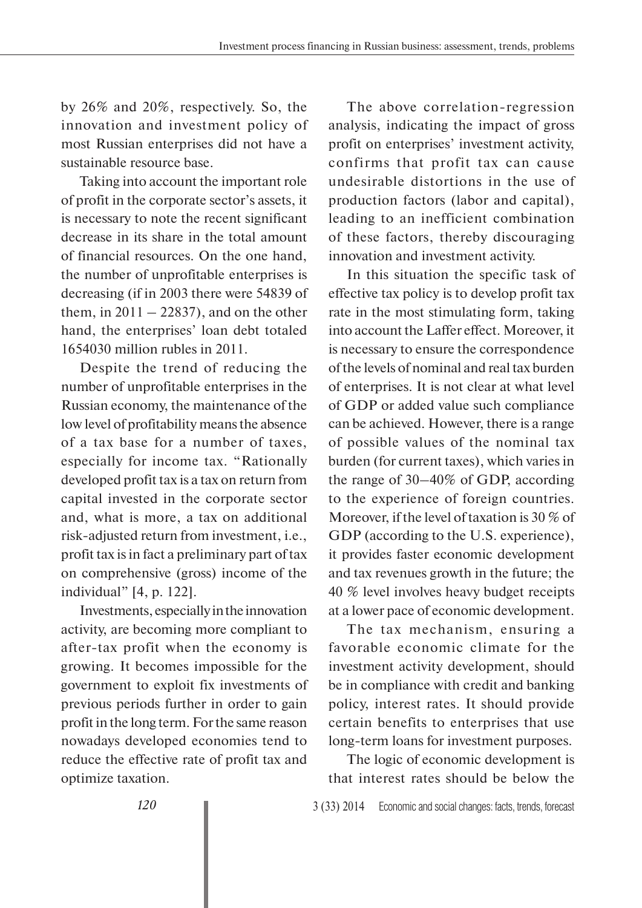by 26% and 20%, respectively. So, the innovation and investment policy of most Russian enterprises did not have a sustainable resource base.

Taking into account the important role of profit in the corporate sector's assets, it is necessary to note the recent significant decrease in its share in the total amount of financial resources. On the one hand, the number of unprofitable enterprises is decreasing (if in 2003 there were 54839 of them, in  $2011 - 22837$ , and on the other hand, the enterprises' loan debt totaled 1654030 million rubles in 2011.

Despite the trend of reducing the number of unprofitable enterprises in the Russian economy, the maintenance of the low level of profitability means the absence of a tax base for a number of taxes, especially for income tax. "Rationally developed profit tax is a tax on return from capital invested in the corporate sector and, what is more, a tax on additional risk-adjusted return from investment, i.e., profit tax is in fact a preliminary part of tax on comprehensive (gross) income of the individual" [4, p. 122].

Investments, especially in the innovation activity, are becoming more compliant to after-tax profit when the economy is growing. It becomes impossible for the government to exploit fix investments of previous periods further in order to gain profit in the long term. For the same reason nowadays developed economies tend to reduce the effective rate of profit tax and optimize taxation.

The above correlation-regression analysis, indicating the impact of gross profit on enterprises' investment activity, confirms that profit tax can cause undesirable distortions in the use of production factors (labor and capital), leading to an inefficient combination of these factors, thereby discouraging innovation and investment activity.

In this situation the specific task of effective tax policy is to develop profit tax rate in the most stimulating form, taking into account the Laffer effect. Moreover, it is necessary to ensure the correspondence of the levels of nominal and real tax burden of enterprises. It is not clear at what level of GDP or added value such compliance can be achieved. However, there is a range of possible values of the nominal tax burden (for current taxes), which varies in the range of 30–40% of GDP, according to the experience of foreign countries. Moreover, if the level of taxation is 30 % of GDP (according to the U.S. experience), it provides faster economic development and tax revenues growth in the future; the 40 % level involves heavy budget receipts at a lower pace of economic development.

The tax mechanism, ensuring a favorable economic climate for the investment activity development, should be in compliance with credit and banking policy, interest rates. It should provide certain benefits to enterprises that use long-term loans for investment purposes.

The logic of economic development is that interest rates should be below the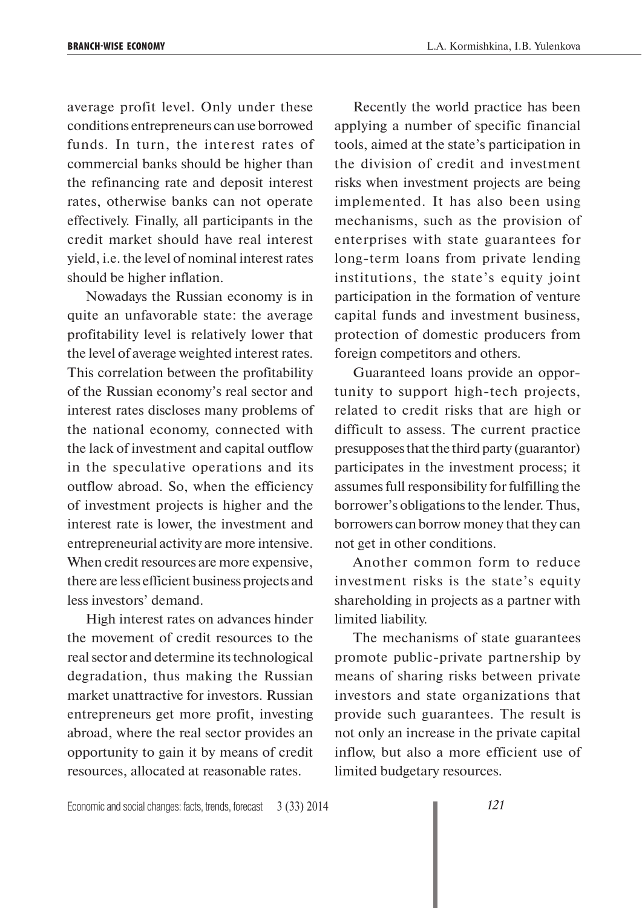average profit level. Only under these conditions entrepreneurs can use borrowed funds. In turn, the interest rates of commercial banks should be higher than the refinancing rate and deposit interest rates, otherwise banks can not operate effectively. Finally, all participants in the credit market should have real interest yield, i.e. the level of nominal interest rates should be higher inflation.

Nowadays the Russian economy is in quite an unfavorable state: the average profitability level is relatively lower that the level of average weighted interest rates. This correlation between the profitability of the Russian economy's real sector and interest rates discloses many problems of the national economy, connected with the lack of investment and capital outflow in the speculative operations and its outflow abroad. So, when the efficiency of investment projects is higher and the interest rate is lower, the investment and entrepreneurial activity are more intensive. When credit resources are more expensive, there are less efficient business projects and less investors' demand.

High interest rates on advances hinder the movement of credit resources to the real sector and determine its technological degradation, thus making the Russian market unattractive for investors. Russian entrepreneurs get more profit, investing abroad, where the real sector provides an opportunity to gain it by means of credit resources, allocated at reasonable rates.

Recently the world practice has been applying a number of specific financial tools, aimed at the state's participation in the division of credit and investment risks when investment projects are being implemented. It has also been using mechanisms, such as the provision of enterprises with state guarantees for long-term loans from private lending institutions, the state's equity joint participation in the formation of venture capital funds and investment business, protection of domestic producers from foreign competitors and others.

Guaranteed loans provide an opportunity to support high-tech projects, related to credit risks that are high or difficult to assess. The current practice presupposes that the third party (guarantor) participates in the investment process; it assumes full responsibility for fulfilling the borrower's obligations to the lender. Thus, borrowers can borrow money that they can not get in other conditions.

Another common form to reduce investment risks is the state's equity shareholding in projects as a partner with limited liability.

The mechanisms of state guarantees promote public-private partnership by means of sharing risks between private investors and state organizations that provide such guarantees. The result is not only an increase in the private capital inflow, but also a more efficient use of limited budgetary resources.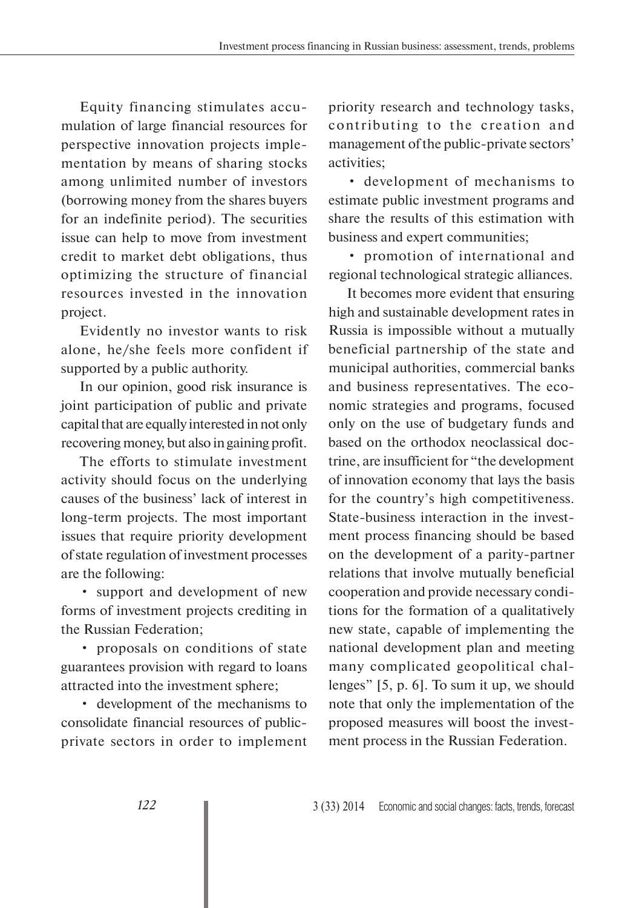Equity financing stimulates accumulation of large financial resources for perspective innovation projects implementation by means of sharing stocks among unlimited number of investors (borrowing money from the shares buyers for an indefinite period). The securities issue can help to move from investment credit to market debt obligations, thus optimizing the structure of financial resources invested in the innovation project.

Evidently no investor wants to risk alone, he/she feels more confident if supported by a public authority.

In our opinion, good risk insurance is joint participation of public and private capital that are equally interested in not only recovering money, but also in gaining profit.

The efforts to stimulate investment activity should focus on the underlying causes of the business' lack of interest in long-term projects. The most important issues that require priority development of state regulation of investment processes are the following:

• support and development of new forms of investment projects crediting in the Russian Federation;

• proposals on conditions of state guarantees provision with regard to loans attracted into the investment sphere;

• development of the mechanisms to consolidate financial resources of publicprivate sectors in order to implement priority research and technology tasks, contributing to the creation and management of the public-private sectors' activities;

• development of mechanisms to estimate public investment programs and share the results of this estimation with business and expert communities;

• promotion of international and regional technological strategic alliances.

It becomes more evident that ensuring high and sustainable development rates in Russia is impossible without a mutually beneficial partnership of the state and municipal authorities, commercial banks and business representatives. The economic strategies and programs, focused only on the use of budgetary funds and based on the orthodox neoclassical doctrine, are insufficient for "the development of innovation economy that lays the basis for the country's high competitiveness. State-business interaction in the investment process financing should be based on the development of a parity-partner relations that involve mutually beneficial cooperation and provide necessary conditions for the formation of a qualitatively new state, capable of implementing the national development plan and meeting many complicated geopolitical challenges" [5, p. 6]. To sum it up, we should note that only the implementation of the proposed measures will boost the investment process in the Russian Federation.